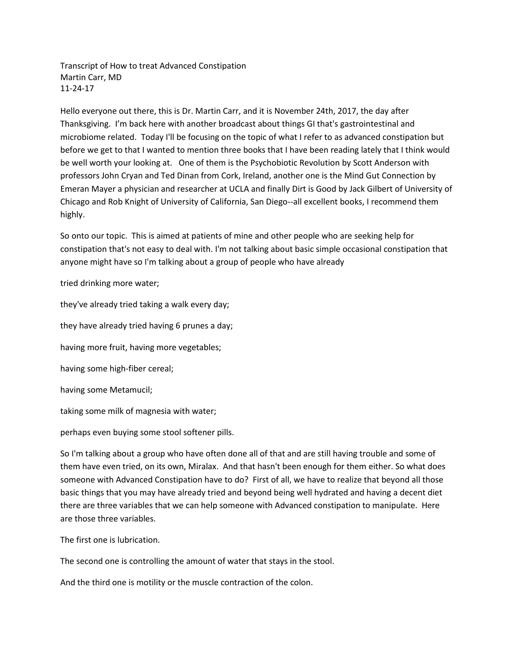Transcript of How to treat Advanced Constipation Martin Carr, MD 11-24-17

Hello everyone out there, this is Dr. Martin Carr, and it is November 24th, 2017, the day after Thanksgiving. I'm back here with another broadcast about things GI that's gastrointestinal and microbiome related. Today I'll be focusing on the topic of what I refer to as advanced constipation but before we get to that I wanted to mention three books that I have been reading lately that I think would be well worth your looking at. One of them is the Psychobiotic Revolution by Scott Anderson with professors John Cryan and Ted Dinan from Cork, Ireland, another one is the Mind Gut Connection by Emeran Mayer a physician and researcher at UCLA and finally Dirt is Good by Jack Gilbert of University of Chicago and Rob Knight of University of California, San Diego--all excellent books, I recommend them highly.

So onto our topic. This is aimed at patients of mine and other people who are seeking help for constipation that's not easy to deal with. I'm not talking about basic simple occasional constipation that anyone might have so I'm talking about a group of people who have already

tried drinking more water;

they've already tried taking a walk every day; they have already tried having 6 prunes a day; having more fruit, having more vegetables; having some high-fiber cereal; having some Metamucil;

taking some milk of magnesia with water;

perhaps even buying some stool softener pills.

So I'm talking about a group who have often done all of that and are still having trouble and some of them have even tried, on its own, Miralax. And that hasn't been enough for them either. So what does someone with Advanced Constipation have to do? First of all, we have to realize that beyond all those basic things that you may have already tried and beyond being well hydrated and having a decent diet there are three variables that we can help someone with Advanced constipation to manipulate. Here are those three variables.

The first one is lubrication.

The second one is controlling the amount of water that stays in the stool.

And the third one is motility or the muscle contraction of the colon.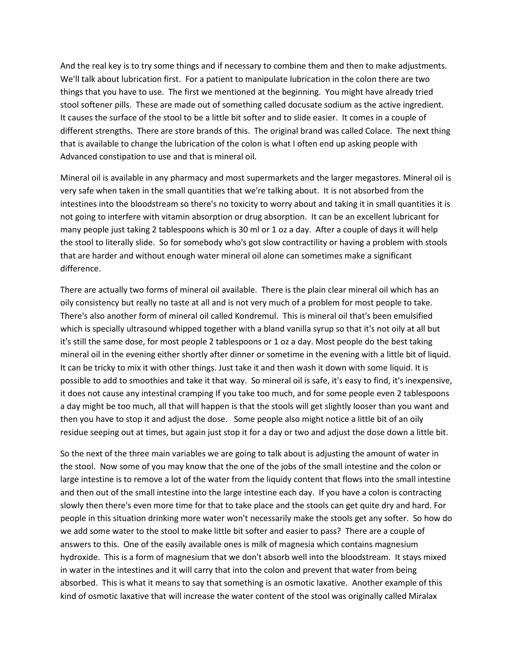And the real key is to try some things and if necessary to combine them and then to make adjustments. We'll talk about lubrication first. For a patient to manipulate lubrication in the colon there are two things that you have to use. The first we mentioned at the beginning. You might have already tried stool softener pills. These are made out of something called docusate sodium as the active ingredient. It causes the surface of the stool to be a little bit softer and to slide easier. It comes in a couple of different strengths. There are store brands of this. The original brand was called Colace. The next thing that is available to change the lubrication of the colon is what I often end up asking people with Advanced constipation to use and that is mineral oil.

Mineral oil is available in any pharmacy and most supermarkets and the larger megastores. Mineral oil is very safe when taken in the small quantities that we're talking about. It is not absorbed from the intestines into the bloodstream so there's no toxicity to worry about and taking it in small quantities it is not going to interfere with vitamin absorption or drug absorption. It can be an excellent lubricant for many people just taking 2 tablespoons which is 30 ml or 1 oz a day. After a couple of days it will help the stool to literally slide. So for somebody who's got slow contractility or having a problem with stools that are harder and without enough water mineral oil alone can sometimes make a significant difference.

There are actually two forms of mineral oil available. There is the plain clear mineral oil which has an oily consistency but really no taste at all and is not very much of a problem for most people to take. There's also another form of mineral oil called Kondremul. This is mineral oil that's been emulsified which is specially ultrasound whipped together with a bland vanilla syrup so that it's not oily at all but it's still the same dose, for most people 2 tablespoons or 1 oz a day. Most people do the best taking mineral oil in the evening either shortly after dinner or sometime in the evening with a little bit of liquid. It can be tricky to mix it with other things. Just take it and then wash it down with some liquid. It is possible to add to smoothies and take it that way. So mineral oil is safe, it's easy to find, it's inexpensive, it does not cause any intestinal cramping If you take too much, and for some people even 2 tablespoons a day might be too much, all that will happen is that the stools will get slightly looser than you want and then you have to stop it and adjust the dose. Some people also might notice a little bit of an oily residue seeping out at times, but again just stop it for a day or two and adjust the dose down a little bit.

So the next of the three main variables we are going to talk about is adjusting the amount of water in the stool. Now some of you may know that the one of the jobs of the small intestine and the colon or large intestine is to remove a lot of the water from the liquidy content that flows into the small intestine and then out of the small intestine into the large intestine each day. If you have a colon is contracting slowly then there's even more time for that to take place and the stools can get quite dry and hard. For people in this situation drinking more water won't necessarily make the stools get any softer. So how do we add some water to the stool to make little bit softer and easier to pass? There are a couple of answers to this. One of the easily available ones is milk of magnesia which contains magnesium hydroxide. This is a form of magnesium that we don't absorb well into the bloodstream. It stays mixed in water in the intestines and it will carry that into the colon and prevent that water from being absorbed. This is what it means to say that something is an osmotic laxative. Another example of this kind of osmotic laxative that will increase the water content of the stool was originally called Miralax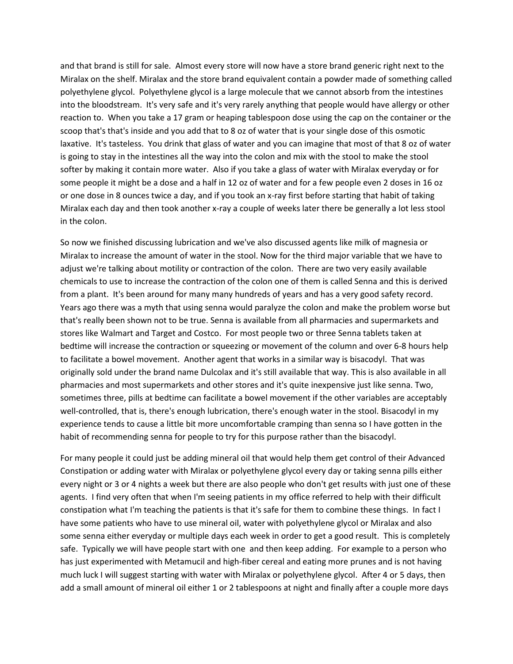and that brand is still for sale. Almost every store will now have a store brand generic right next to the Miralax on the shelf. Miralax and the store brand equivalent contain a powder made of something called polyethylene glycol. Polyethylene glycol is a large molecule that we cannot absorb from the intestines into the bloodstream. It's very safe and it's very rarely anything that people would have allergy or other reaction to. When you take a 17 gram or heaping tablespoon dose using the cap on the container or the scoop that's that's inside and you add that to 8 oz of water that is your single dose of this osmotic laxative. It's tasteless. You drink that glass of water and you can imagine that most of that 8 oz of water is going to stay in the intestines all the way into the colon and mix with the stool to make the stool softer by making it contain more water. Also if you take a glass of water with Miralax everyday or for some people it might be a dose and a half in 12 oz of water and for a few people even 2 doses in 16 oz or one dose in 8 ounces twice a day, and if you took an x-ray first before starting that habit of taking Miralax each day and then took another x-ray a couple of weeks later there be generally a lot less stool in the colon.

So now we finished discussing lubrication and we've also discussed agents like milk of magnesia or Miralax to increase the amount of water in the stool. Now for the third major variable that we have to adjust we're talking about motility or contraction of the colon. There are two very easily available chemicals to use to increase the contraction of the colon one of them is called Senna and this is derived from a plant. It's been around for many many hundreds of years and has a very good safety record. Years ago there was a myth that using senna would paralyze the colon and make the problem worse but that's really been shown not to be true. Senna is available from all pharmacies and supermarkets and stores like Walmart and Target and Costco. For most people two or three Senna tablets taken at bedtime will increase the contraction or squeezing or movement of the column and over 6-8 hours help to facilitate a bowel movement. Another agent that works in a similar way is bisacodyl. That was originally sold under the brand name Dulcolax and it's still available that way. This is also available in all pharmacies and most supermarkets and other stores and it's quite inexpensive just like senna. Two, sometimes three, pills at bedtime can facilitate a bowel movement if the other variables are acceptably well-controlled, that is, there's enough lubrication, there's enough water in the stool. Bisacodyl in my experience tends to cause a little bit more uncomfortable cramping than senna so I have gotten in the habit of recommending senna for people to try for this purpose rather than the bisacodyl.

For many people it could just be adding mineral oil that would help them get control of their Advanced Constipation or adding water with Miralax or polyethylene glycol every day or taking senna pills either every night or 3 or 4 nights a week but there are also people who don't get results with just one of these agents. I find very often that when I'm seeing patients in my office referred to help with their difficult constipation what I'm teaching the patients is that it's safe for them to combine these things. In fact I have some patients who have to use mineral oil, water with polyethylene glycol or Miralax and also some senna either everyday or multiple days each week in order to get a good result. This is completely safe. Typically we will have people start with one and then keep adding. For example to a person who has just experimented with Metamucil and high-fiber cereal and eating more prunes and is not having much luck I will suggest starting with water with Miralax or polyethylene glycol. After 4 or 5 days, then add a small amount of mineral oil either 1 or 2 tablespoons at night and finally after a couple more days